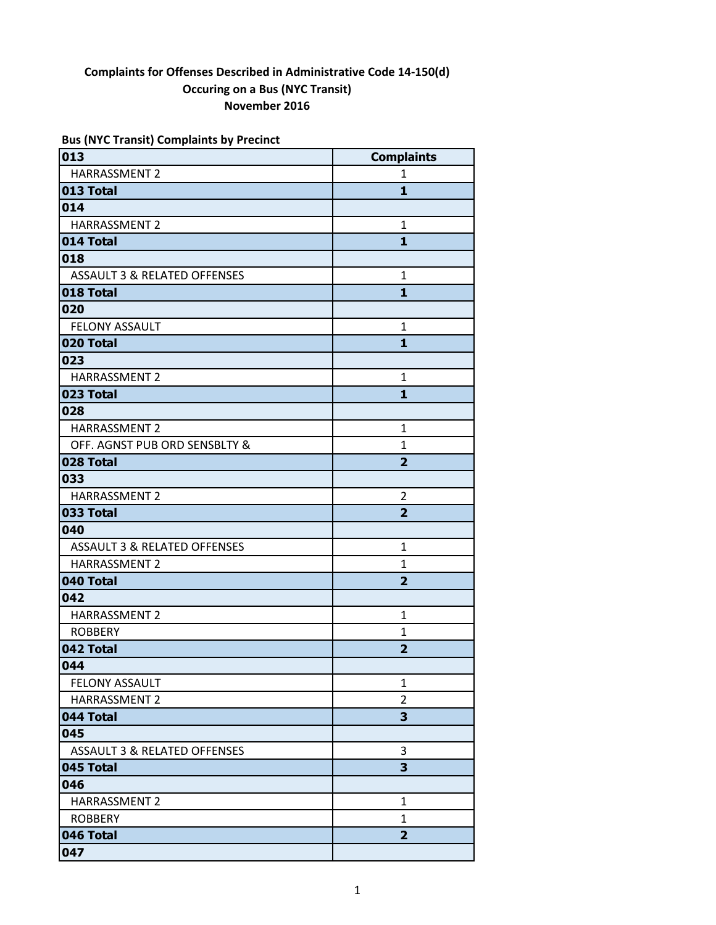| <b>Bus (NYC Transit) Complaints by Precinct</b> |  |  |  |
|-------------------------------------------------|--|--|--|
|-------------------------------------------------|--|--|--|

| 013                                     | <b>Complaints</b> |
|-----------------------------------------|-------------------|
| <b>HARRASSMENT 2</b>                    | $\mathbf{1}$      |
| 013 Total                               | 1                 |
| 014                                     |                   |
| HARRASSMENT 2                           | $\mathbf{1}$      |
| 014 Total                               | 1                 |
| 018                                     |                   |
| <b>ASSAULT 3 &amp; RELATED OFFENSES</b> | 1                 |
| 018 Total                               | 1                 |
| 020                                     |                   |
| <b>FELONY ASSAULT</b>                   | $\mathbf{1}$      |
| 020 Total                               | 1                 |
| 023                                     |                   |
| HARRASSMENT 2                           | 1                 |
| 023 Total                               | 1                 |
| 028                                     |                   |
| <b>HARRASSMENT 2</b>                    | 1                 |
| OFF. AGNST PUB ORD SENSBLTY &           | 1                 |
| 028 Total                               | $\overline{2}$    |
| 033                                     |                   |
| <b>HARRASSMENT 2</b>                    | $\overline{2}$    |
| 033 Total                               | $\overline{2}$    |
| 040                                     |                   |
| <b>ASSAULT 3 &amp; RELATED OFFENSES</b> | $\mathbf{1}$      |
| <b>HARRASSMENT 2</b>                    | 1                 |
| 040 Total                               | $\overline{2}$    |
| 042                                     |                   |
| <b>HARRASSMENT 2</b>                    | $\mathbf{1}$      |
| <b>ROBBERY</b>                          | 1                 |
| 042 Total                               | $\overline{2}$    |
| 044                                     |                   |
| <b>FELONY ASSAULT</b>                   | 1                 |
| <b>HARRASSMENT 2</b>                    | $\overline{2}$    |
| 044 Total                               | 3                 |
| 045                                     |                   |
| <b>ASSAULT 3 &amp; RELATED OFFENSES</b> | 3                 |
| 045 Total                               | 3                 |
| 046                                     |                   |
| HARRASSMENT 2                           | 1                 |
| <b>ROBBERY</b>                          | 1                 |
| 046 Total                               | 2                 |
| 047                                     |                   |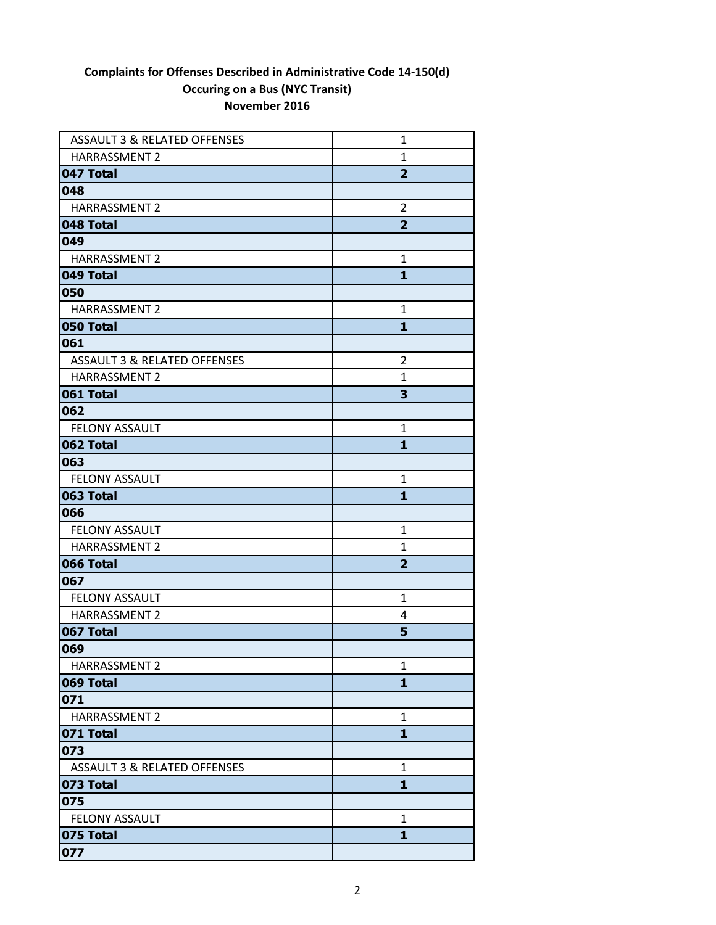| <b>ASSAULT 3 &amp; RELATED OFFENSES</b> | 1              |
|-----------------------------------------|----------------|
| <b>HARRASSMENT 2</b>                    | $\mathbf{1}$   |
| 047 Total                               | $\overline{2}$ |
| 048                                     |                |
| <b>HARRASSMENT 2</b>                    | $\overline{2}$ |
| 048 Total                               | $\overline{2}$ |
| 049                                     |                |
| <b>HARRASSMENT 2</b>                    | $\mathbf{1}$   |
| 049 Total                               | $\mathbf{1}$   |
| 050                                     |                |
| <b>HARRASSMENT 2</b>                    | 1              |
| 050 Total                               | $\mathbf{1}$   |
| 061                                     |                |
| <b>ASSAULT 3 &amp; RELATED OFFENSES</b> | $\overline{2}$ |
| <b>HARRASSMENT 2</b>                    | $\mathbf{1}$   |
| 061 Total                               | 3              |
| 062                                     |                |
| <b>FELONY ASSAULT</b>                   | 1              |
| 062 Total                               | 1              |
| 063                                     |                |
| <b>FELONY ASSAULT</b>                   | $\mathbf{1}$   |
| 063 Total                               | 1              |
| 066                                     |                |
| <b>FELONY ASSAULT</b>                   | $\mathbf{1}$   |
| <b>HARRASSMENT 2</b>                    | 1              |
| 066 Total                               | $\overline{2}$ |
| 067                                     |                |
| <b>FELONY ASSAULT</b>                   | 1              |
| <b>HARRASSMENT 2</b>                    | 4              |
| 067 Total                               | 5              |
| 069                                     |                |
| HARRASSMENT 2                           | 1              |
| 069 Total                               | 1              |
| 071                                     |                |
| <b>HARRASSMENT 2</b>                    | 1              |
| 071 Total                               | 1              |
| 073                                     |                |
| <b>ASSAULT 3 &amp; RELATED OFFENSES</b> | $\mathbf{1}$   |
| 073 Total                               | $\mathbf{1}$   |
| 075                                     |                |
| FELONY ASSAULT                          | 1              |
| 075 Total                               | 1              |
| 077                                     |                |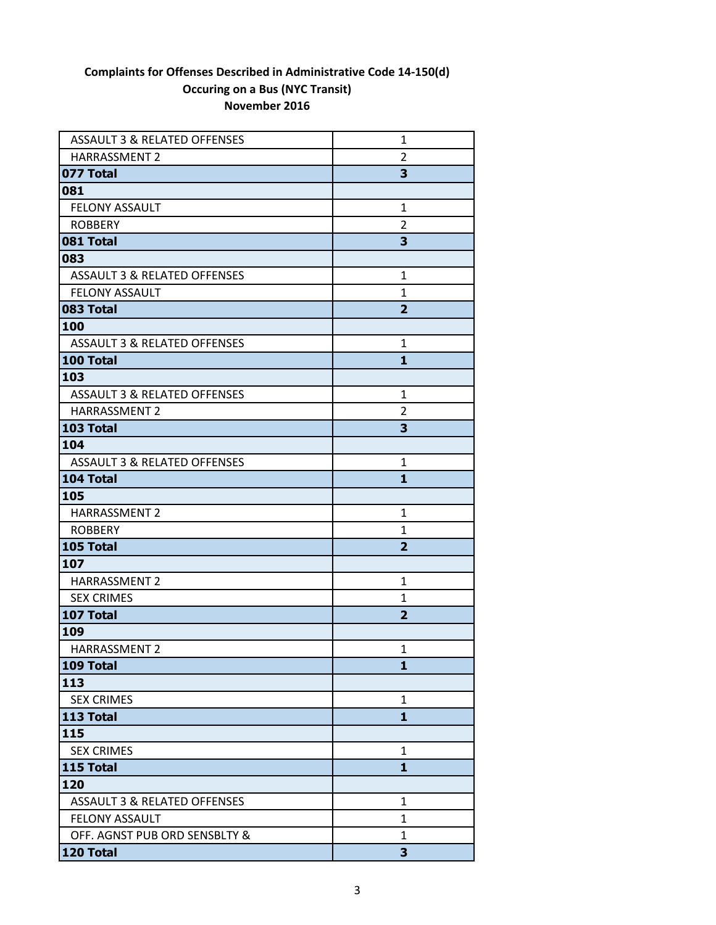| <b>ASSAULT 3 &amp; RELATED OFFENSES</b> | 1              |
|-----------------------------------------|----------------|
| <b>HARRASSMENT 2</b>                    | 2              |
| 077 Total                               | 3              |
| 081                                     |                |
| <b>FELONY ASSAULT</b>                   | $\mathbf{1}$   |
| <b>ROBBERY</b>                          | 2              |
| 081 Total                               | 3              |
| 083                                     |                |
| <b>ASSAULT 3 &amp; RELATED OFFENSES</b> | $\mathbf{1}$   |
| <b>FELONY ASSAULT</b>                   | $\mathbf{1}$   |
| 083 Total                               | $\overline{2}$ |
| 100                                     |                |
| <b>ASSAULT 3 &amp; RELATED OFFENSES</b> | 1              |
| 100 Total                               | 1              |
| 103                                     |                |
| <b>ASSAULT 3 &amp; RELATED OFFENSES</b> | 1              |
| <b>HARRASSMENT 2</b>                    | 2              |
| 103 Total                               | 3              |
| 104                                     |                |
| <b>ASSAULT 3 &amp; RELATED OFFENSES</b> | 1              |
| 104 Total                               | $\mathbf{1}$   |
| 105                                     |                |
| <b>HARRASSMENT 2</b>                    | 1              |
| <b>ROBBERY</b>                          | $\mathbf{1}$   |
| 105 Total                               | $\overline{2}$ |
| 107                                     |                |
| <b>HARRASSMENT 2</b>                    | $\mathbf{1}$   |
| <b>SEX CRIMES</b>                       | 1              |
| 107 Total                               | $\overline{2}$ |
| 109                                     |                |
| <b>HARRASSMENT 2</b>                    | $\mathbf 1$    |
| 109 Total                               | 1              |
| 113                                     |                |
| <b>SEX CRIMES</b>                       | $\mathbf{1}$   |
| 113 Total                               | $\mathbf{1}$   |
| 115                                     |                |
| <b>SEX CRIMES</b>                       | 1              |
| 115 Total                               | 1              |
| 120                                     |                |
| ASSAULT 3 & RELATED OFFENSES            | $\mathbf{1}$   |
| <b>FELONY ASSAULT</b>                   | 1              |
| OFF. AGNST PUB ORD SENSBLTY &           | 1              |
| 120 Total                               | 3              |